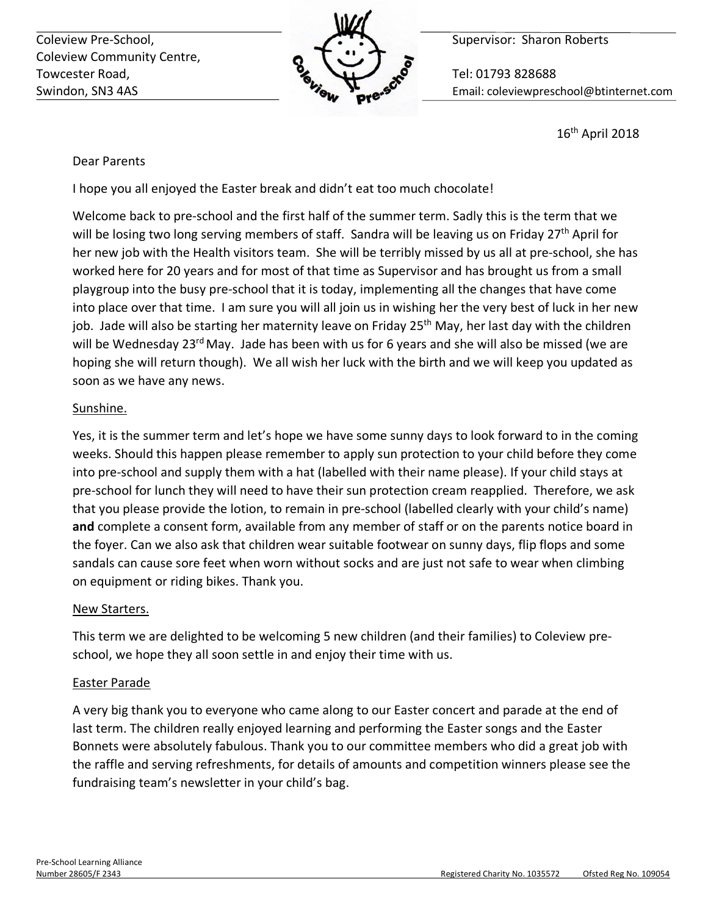Coleview Pre-School, **Supervisor: Sharon Roberts** Coleview Pre-School, Coleview Community Centre, Towcester Road, **The Contract of Contract Contract Contract Contract Contract Contract Contract Contract Contract Contract Contract Contract Contract Contract Contract Contract Contract Contract Contract Contract Contract** 



Swindon, SN3 4AS Email: coleviewpreschool@btinternet.com

16th April 2018

# Dear Parents

I hope you all enjoyed the Easter break and didn't eat too much chocolate!

Welcome back to pre-school and the first half of the summer term. Sadly this is the term that we will be losing two long serving members of staff. Sandra will be leaving us on Friday 27<sup>th</sup> April for her new job with the Health visitors team. She will be terribly missed by us all at pre-school, she has worked here for 20 years and for most of that time as Supervisor and has brought us from a small playgroup into the busy pre-school that it is today, implementing all the changes that have come into place over that time. I am sure you will all join us in wishing her the very best of luck in her new job. Jade will also be starting her maternity leave on Friday  $25<sup>th</sup>$  May, her last day with the children will be Wednesday 23<sup>rd</sup> May. Jade has been with us for 6 years and she will also be missed (we are hoping she will return though). We all wish her luck with the birth and we will keep you updated as soon as we have any news.

# Sunshine.

Yes, it is the summer term and let's hope we have some sunny days to look forward to in the coming weeks. Should this happen please remember to apply sun protection to your child before they come into pre-school and supply them with a hat (labelled with their name please). If your child stays at pre-school for lunch they will need to have their sun protection cream reapplied. Therefore, we ask that you please provide the lotion, to remain in pre-school (labelled clearly with your child's name) **and** complete a consent form, available from any member of staff or on the parents notice board in the foyer. Can we also ask that children wear suitable footwear on sunny days, flip flops and some sandals can cause sore feet when worn without socks and are just not safe to wear when climbing on equipment or riding bikes. Thank you.

# New Starters.

This term we are delighted to be welcoming 5 new children (and their families) to Coleview preschool, we hope they all soon settle in and enjoy their time with us.

# Easter Parade

A very big thank you to everyone who came along to our Easter concert and parade at the end of last term. The children really enjoyed learning and performing the Easter songs and the Easter Bonnets were absolutely fabulous. Thank you to our committee members who did a great job with the raffle and serving refreshments, for details of amounts and competition winners please see the fundraising team's newsletter in your child's bag.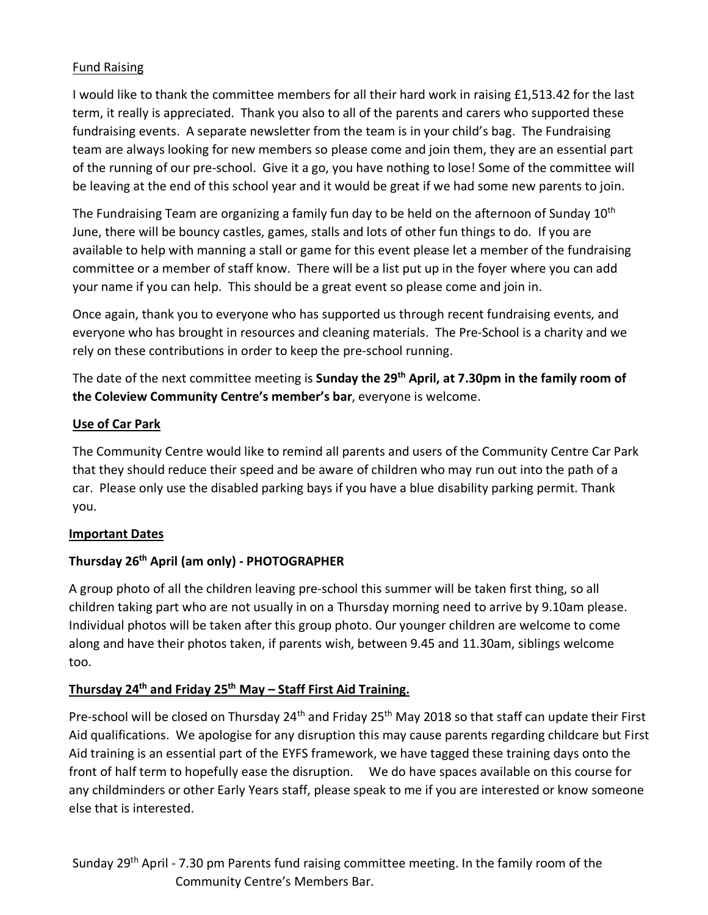# Fund Raising

I would like to thank the committee members for all their hard work in raising £1,513.42 for the last term, it really is appreciated. Thank you also to all of the parents and carers who supported these fundraising events. A separate newsletter from the team is in your child's bag. The Fundraising team are always looking for new members so please come and join them, they are an essential part of the running of our pre-school. Give it a go, you have nothing to lose! Some of the committee will be leaving at the end of this school year and it would be great if we had some new parents to join.

The Fundraising Team are organizing a family fun day to be held on the afternoon of Sunday  $10<sup>th</sup>$ June, there will be bouncy castles, games, stalls and lots of other fun things to do. If you are available to help with manning a stall or game for this event please let a member of the fundraising committee or a member of staff know. There will be a list put up in the foyer where you can add your name if you can help. This should be a great event so please come and join in.

Once again, thank you to everyone who has supported us through recent fundraising events, and everyone who has brought in resources and cleaning materials. The Pre-School is a charity and we rely on these contributions in order to keep the pre-school running.

The date of the next committee meeting is **Sunday the 29th April, at 7.30pm in the family room of the Coleview Community Centre's member's bar**, everyone is welcome.

# **Use of Car Park**

The Community Centre would like to remind all parents and users of the Community Centre Car Park that they should reduce their speed and be aware of children who may run out into the path of a car. Please only use the disabled parking bays if you have a blue disability parking permit. Thank you.

### **Important Dates**

# **Thursday 26th April (am only) - PHOTOGRAPHER**

A group photo of all the children leaving pre-school this summer will be taken first thing, so all children taking part who are not usually in on a Thursday morning need to arrive by 9.10am please. Individual photos will be taken after this group photo. Our younger children are welcome to come along and have their photos taken, if parents wish, between 9.45 and 11.30am, siblings welcome too.

# **Thursday 24th and Friday 25th May – Staff First Aid Training.**

Pre-school will be closed on Thursday 24<sup>th</sup> and Friday 25<sup>th</sup> May 2018 so that staff can update their First Aid qualifications. We apologise for any disruption this may cause parents regarding childcare but First Aid training is an essential part of the EYFS framework, we have tagged these training days onto the front of half term to hopefully ease the disruption. We do have spaces available on this course for any childminders or other Early Years staff, please speak to me if you are interested or know someone else that is interested.